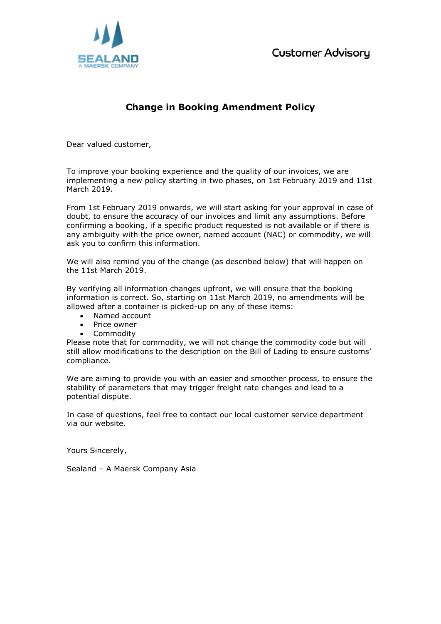

## **Change in Booking Amendment Policy**

Dear valued customer,

To improve your booking experience and the quality of our invoices, we are implementing a new policy starting in two phases, on 1st February 2019 and 11st March 2019.

From 1st February 2019 onwards, we will start asking for your approval in case of doubt, to ensure the accuracy of our invoices and limit any assumptions. Before confirming a booking, if a specific product requested is not available or if there is any ambiguity with the price owner, named account (NAC) or commodity, we will ask you to confirm this information.

We will also remind you of the change (as described below) that will happen on the 11st March 2019.

By verifying all information changes upfront, we will ensure that the booking information is correct. So, starting on 11st March 2019, no amendments will be allowed after a container is picked-up on any of these items:

- Named account
- Price owner
- Commodity

Please note that for commodity, we will not change the commodity code but will still allow modifications to the description on the Bill of Lading to ensure customs' compliance.

We are aiming to provide you with an easier and smoother process, to ensure the stability of parameters that may trigger freight rate changes and lead to a potential dispute.

In case of questions, feel free to contact our local customer service department via our website.

Yours Sincerely,

Sealand – A Maersk Company Asia